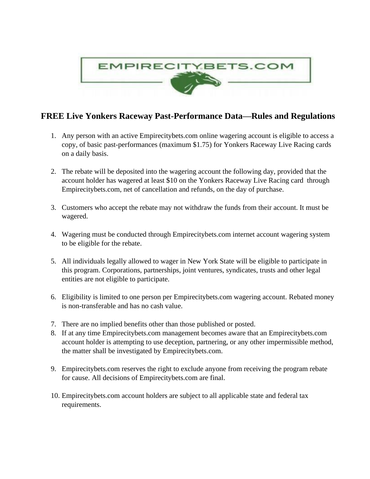

## **FREE Live Yonkers Raceway Past-Performance Data—Rules and Regulations**

- 1. Any person with an active Empirecitybets.com online wagering account is eligible to access a copy, of basic past-performances (maximum \$1.75) for Yonkers Raceway Live Racing cards on a daily basis.
- 2. The rebate will be deposited into the wagering account the following day, provided that the account holder has wagered at least \$10 on the Yonkers Raceway Live Racing card through Empirecitybets.com, net of cancellation and refunds, on the day of purchase.
- 3. Customers who accept the rebate may not withdraw the funds from their account. It must be wagered.
- 4. Wagering must be conducted through Empirecitybets.com internet account wagering system to be eligible for the rebate.
- 5. All individuals legally allowed to wager in New York State will be eligible to participate in this program. Corporations, partnerships, joint ventures, syndicates, trusts and other legal entities are not eligible to participate.
- 6. Eligibility is limited to one person per Empirecitybets.com wagering account. Rebated money is non-transferable and has no cash value.
- 7. There are no implied benefits other than those published or posted.
- 8. If at any time Empirecitybets.com management becomes aware that an Empirecitybets.com account holder is attempting to use deception, partnering, or any other impermissible method, the matter shall be investigated by Empirecitybets.com.
- 9. Empirecitybets.com reserves the right to exclude anyone from receiving the program rebate for cause. All decisions of Empirecitybets.com are final.
- 10. Empirecitybets.com account holders are subject to all applicable state and federal tax requirements.